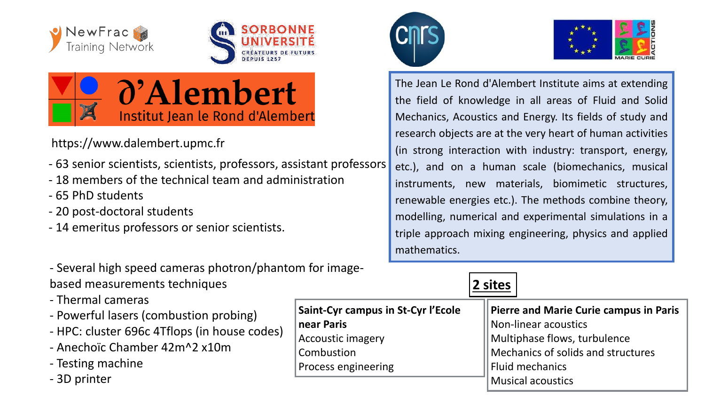





## https://www.dalembert.upmc.fr

- 63 senior scientists, scientists, professors, assistant professors
- 18 members of the technical team and administration
- 65 PhD students
- 20 post-doctoral students
- 14 emeritus professors or senior scientists.
- Several high speed cameras photron/phantom for imagebased measurements techniques
- Thermal cameras
- Powerful lasers (combustion probing)
- HPC: cluster 696c 4Tflops (in house codes)
- Anechoïc Chamber 42m^2 x10m
- Testing machine
- 3D printer





The Jean Le Rond d'Alembert Institute aims at extending the field of knowledge in all areas of Fluid and Solid Mechanics, Acoustics and Energy. Its fields of study and research objects are at the very heart of human activities (in strong interaction with industry: transport, energy, etc.), and on a human scale (biomechanics, musical instruments, new materials, biomimetic structures, renewable energies etc.). The methods combine theory, modelling, numerical and experimental simulations in a triple approach mixing engineering, physics and applied mathematics.

|                                    | 2 sites                                       |
|------------------------------------|-----------------------------------------------|
| Saint-Cyr campus in St-Cyr l'Ecole | <b>Pierre and Marie Curie campus in Paris</b> |
| near Paris                         | Non-linear acoustics                          |
| <b>Accoustic imagery</b>           | Multiphase flows, turbulence                  |
| Combustion                         | Mechanics of solids and structures            |
| Process engineering                | <b>Fluid mechanics</b>                        |
|                                    | <b>Musical acoustics</b>                      |